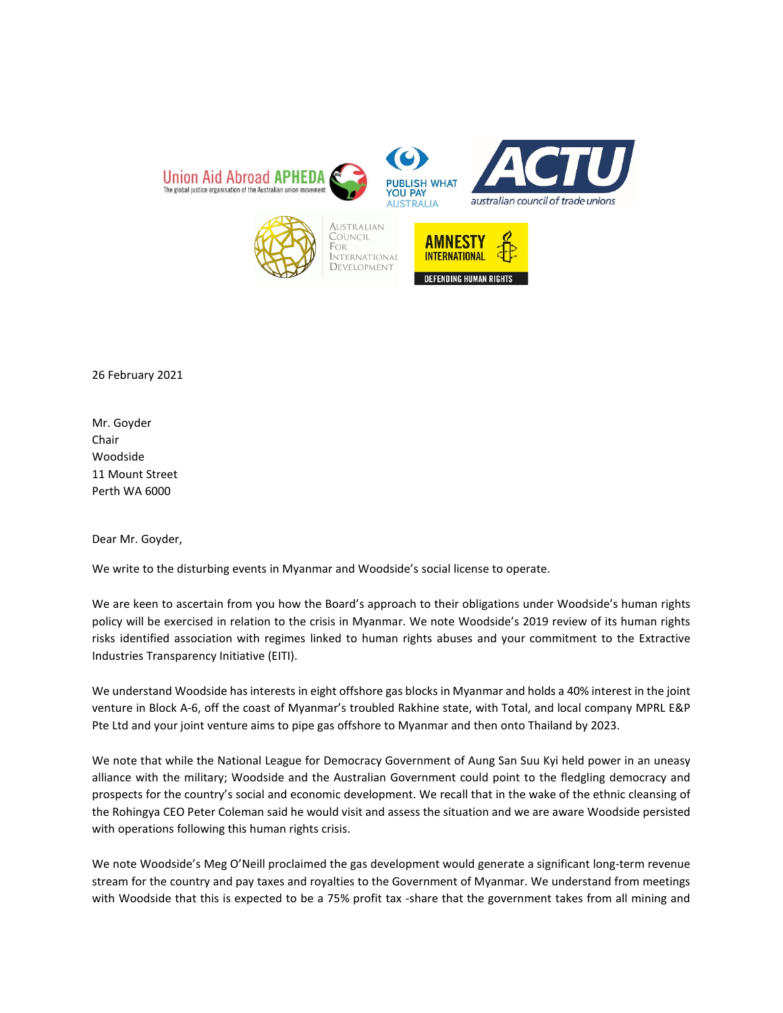

26 February 2021

Mr. Goyder Chair Woodside 11 Mount Street Perth WA 6000

Dear Mr. Goyder,

We write to the disturbing events in Myanmar and Woodside's social license to operate.

We are keen to ascertain from you how the Board's approach to their obligations under Woodside's human rights policy will be exercised in relation to the crisis in Myanmar. We note Woodside's 2019 review of its human rights risks identified association with regimes linked to human rights abuses and your commitment to the Extractive Industries Transparency Initiative (EITI).

We understand Woodside has interests in eight offshore gas blocks in Myanmar and holds a 40% interest in the joint venture in Block A-6, off the coast of Myanmar's troubled Rakhine state, with Total, and local company MPRL E&P Pte Ltd and your joint venture aims to pipe gas offshore to Myanmar and then onto Thailand by 2023.

We note that while the National League for Democracy Government of Aung San Suu Kyi held power in an uneasy alliance with the military; Woodside and the Australian Government could point to the fledgling democracy and prospects for the country's social and economic development. We recall that in the wake of the ethnic cleansing of the Rohingya CEO Peter Coleman said he would visit and assess the situation and we are aware Woodside persisted with operations following this human rights crisis.

We note Woodside's Meg O'Neill proclaimed the gas development would generate a significant long-term revenue stream for the country and pay taxes and royalties to the Government of Myanmar. We understand from meetings with Woodside that this is expected to be a 75% profit tax -share that the government takes from all mining and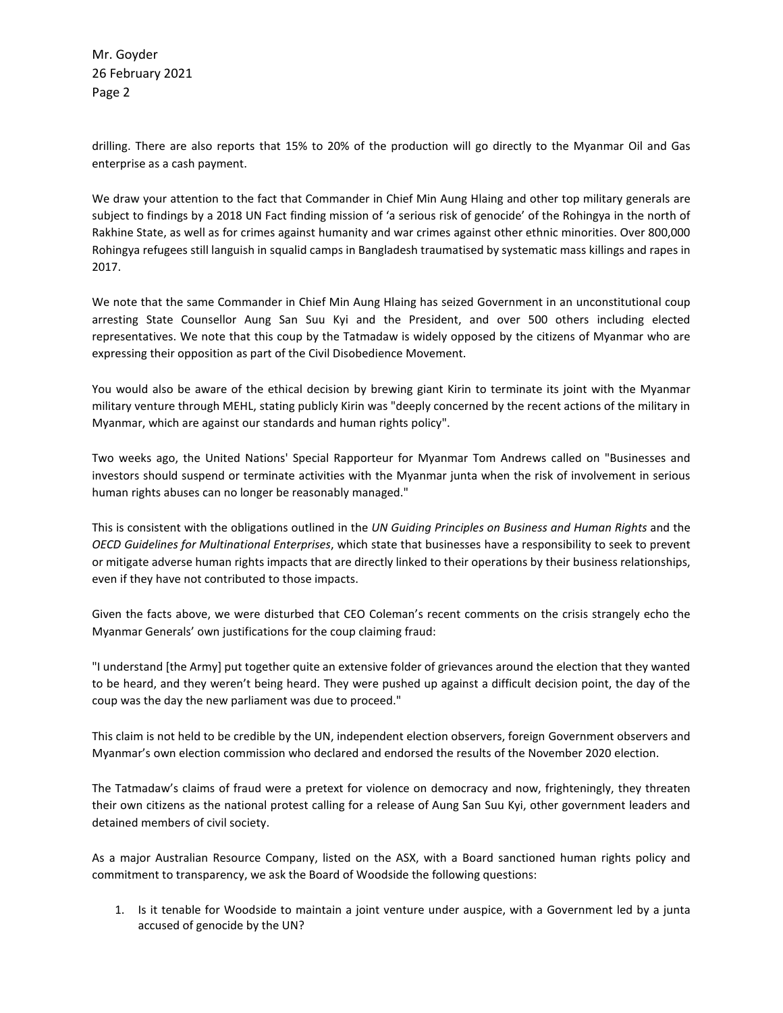Mr. Goyder 26 February 2021 Page 2

drilling. There are also reports that 15% to 20% of the production will go directly to the Myanmar Oil and Gas enterprise as a cash payment.

We draw your attention to the fact that Commander in Chief Min Aung Hlaing and other top military generals are subject to findings by a 2018 UN Fact finding mission of 'a serious risk of genocide' of the Rohingya in the north of Rakhine State, as well as for crimes against humanity and war crimes against other ethnic minorities. Over 800,000 Rohingya refugees still languish in squalid camps in Bangladesh traumatised by systematic mass killings and rapes in 2017.

We note that the same Commander in Chief Min Aung Hlaing has seized Government in an unconstitutional coup arresting State Counsellor Aung San Suu Kyi and the President, and over 500 others including elected representatives. We note that this coup by the Tatmadaw is widely opposed by the citizens of Myanmar who are expressing their opposition as part of the Civil Disobedience Movement.

You would also be aware of the ethical decision by brewing giant Kirin to terminate its joint with the Myanmar military venture through MEHL, stating publicly Kirin was "deeply concerned by the recent actions of the military in Myanmar, which are against our standards and human rights policy".

Two weeks ago, the United Nations' Special Rapporteur for Myanmar Tom Andrews called on "Businesses and investors should suspend or terminate activities with the Myanmar junta when the risk of involvement in serious human rights abuses can no longer be reasonably managed."

This is consistent with the obligations outlined in the *UN Guiding Principles on Business and Human Rights* and the *OECD Guidelines for Multinational Enterprises*, which state that businesses have a responsibility to seek to prevent or mitigate adverse human rights impacts that are directly linked to their operations by their business relationships, even if they have not contributed to those impacts.

Given the facts above, we were disturbed that CEO Coleman's recent comments on the crisis strangely echo the Myanmar Generals' own justifications for the coup claiming fraud:

"I understand [the Army] put together quite an extensive folder of grievances around the election that they wanted to be heard, and they weren't being heard. They were pushed up against a difficult decision point, the day of the coup was the day the new parliament was due to proceed."

This claim is not held to be credible by the UN, independent election observers, foreign Government observers and Myanmar's own election commission who declared and endorsed the results of the November 2020 election.

The Tatmadaw's claims of fraud were a pretext for violence on democracy and now, frighteningly, they threaten their own citizens as the national protest calling for a release of Aung San Suu Kyi, other government leaders and detained members of civil society.

As a major Australian Resource Company, listed on the ASX, with a Board sanctioned human rights policy and commitment to transparency, we ask the Board of Woodside the following questions:

1. Is it tenable for Woodside to maintain a joint venture under auspice, with a Government led by a junta accused of genocide by the UN?